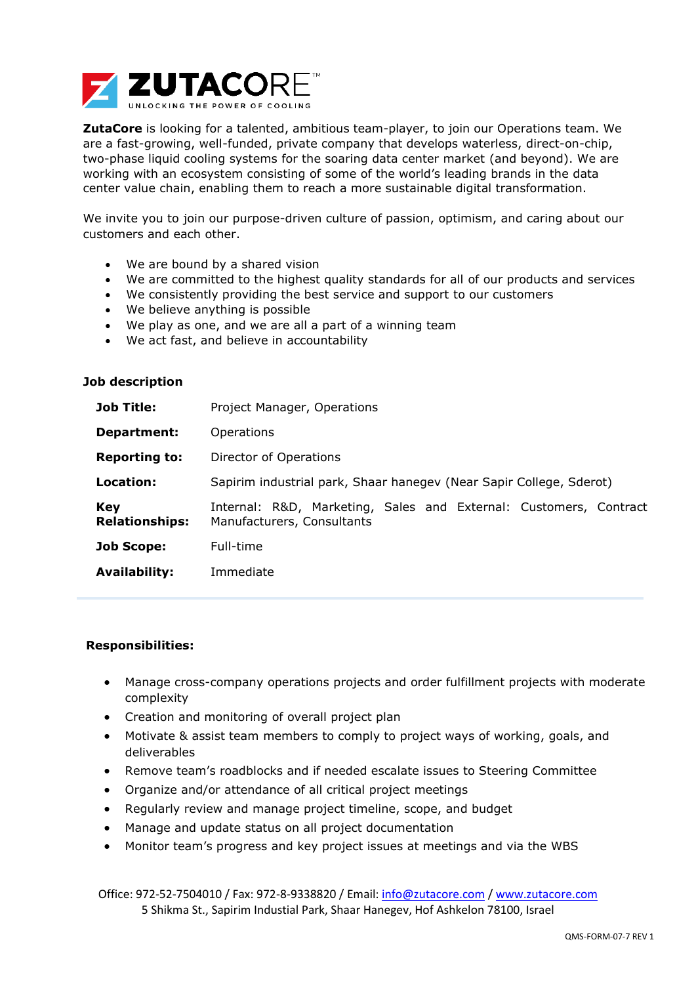

**ZutaCore** is looking for a talented, ambitious team-player, to join our Operations team. We are a fast-growing, well-funded, private company that develops waterless, direct-on-chip, two-phase liquid cooling systems for the soaring data center market (and beyond). We are working with an ecosystem consisting of some of the world's leading brands in the data center value chain, enabling them to reach a more sustainable digital transformation.

We invite you to join our purpose-driven culture of passion, optimism, and caring about our customers and each other.

- We are bound by a shared vision
- We are committed to the highest quality standards for all of our products and services
- We consistently providing the best service and support to our customers
- We believe anything is possible
- We play as one, and we are all a part of a winning team
- We act fast, and believe in accountability

## **Job description**

| <b>Job Title:</b>            | Project Manager, Operations                                                                     |
|------------------------------|-------------------------------------------------------------------------------------------------|
| Department:                  | <b>Operations</b>                                                                               |
| <b>Reporting to:</b>         | Director of Operations                                                                          |
| Location:                    | Sapirim industrial park, Shaar hanegev (Near Sapir College, Sderot)                             |
| Key<br><b>Relationships:</b> | Internal: R&D, Marketing, Sales and External: Customers, Contract<br>Manufacturers, Consultants |
| <b>Job Scope:</b>            | Full-time                                                                                       |
| <b>Availability:</b>         | Immediate                                                                                       |

## **Responsibilities:**

- Manage cross-company operations projects and order fulfillment projects with moderate complexity
- Creation and monitoring of overall project plan
- Motivate & assist team members to comply to project ways of working, goals, and deliverables
- Remove team's roadblocks and if needed escalate issues to Steering Committee
- Organize and/or attendance of all critical project meetings
- Regularly review and manage project timeline, scope, and budget
- Manage and update status on all project documentation
- Monitor team's progress and key project issues at meetings and via the WBS

Office: 972-52-7504010 / Fax: 972-8-9338820 / Email: [info@zutacore.com](mailto:info@zutacore.com) / [www.zutacore.com](http://www.zutacore.com/) 5 Shikma St., Sapirim Industial Park, Shaar Hanegev, Hof Ashkelon 78100, Israel